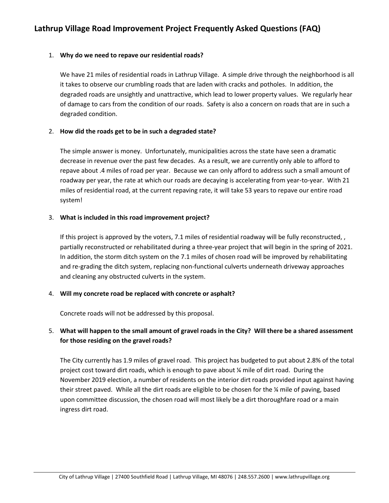### 1. **Why do we need to repave our residential roads?**

We have 21 miles of residential roads in Lathrup Village. A simple drive through the neighborhood is all it takes to observe our crumbling roads that are laden with cracks and potholes. In addition, the degraded roads are unsightly and unattractive, which lead to lower property values. We regularly hear of damage to cars from the condition of our roads. Safety is also a concern on roads that are in such a degraded condition.

## 2. **How did the roads get to be in such a degraded state?**

The simple answer is money. Unfortunately, municipalities across the state have seen a dramatic decrease in revenue over the past few decades. As a result, we are currently only able to afford to repave about .4 miles of road per year. Because we can only afford to address such a small amount of roadway per year, the rate at which our roads are decaying is accelerating from year-to-year. With 21 miles of residential road, at the current repaving rate, it will take 53 years to repave our entire road system!

## 3. **What is included in this road improvement project?**

If this project is approved by the voters, 7.1 miles of residential roadway will be fully reconstructed, , partially reconstructed or rehabilitated during a three-year project that will begin in the spring of 2021. In addition, the storm ditch system on the 7.1 miles of chosen road will be improved by rehabilitating and re-grading the ditch system, replacing non-functional culverts underneath driveway approaches and cleaning any obstructed culverts in the system.

### 4. **Will my concrete road be replaced with concrete or asphalt?**

Concrete roads will not be addressed by this proposal.

# 5. **What will happen to the small amount of gravel roads in the City? Will there be a shared assessment for those residing on the gravel roads?**

The City currently has 1.9 miles of gravel road. This project has budgeted to put about 2.8% of the total project cost toward dirt roads, which is enough to pave about ¼ mile of dirt road. During the November 2019 election, a number of residents on the interior dirt roads provided input against having their street paved. While all the dirt roads are eligible to be chosen for the ¼ mile of paving, based upon committee discussion, the chosen road will most likely be a dirt thoroughfare road or a main ingress dirt road.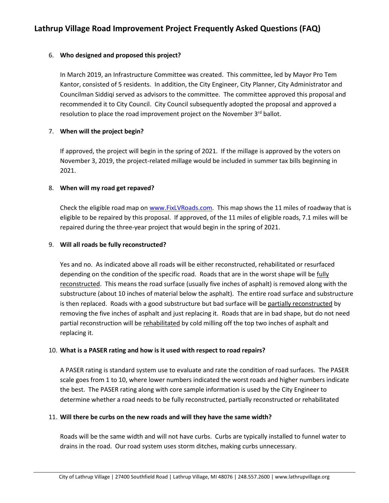## 6. **Who designed and proposed this project?**

In March 2019, an Infrastructure Committee was created. This committee, led by Mayor Pro Tem Kantor, consisted of 5 residents. In addition, the City Engineer, City Planner, City Administrator and Councilman Siddiqi served as advisors to the committee. The committee approved this proposal and recommended it to City Council. City Council subsequently adopted the proposal and approved a resolution to place the road improvement project on the November 3<sup>rd</sup> ballot.

## 7. **When will the project begin?**

If approved, the project will begin in the spring of 2021. If the millage is approved by the voters on November 3, 2019, the project-related millage would be included in summer tax bills beginning in 2021.

## 8. **When will my road get repaved?**

Check the eligible road map on [www.FixLVRoads.com.](http://www.fixlvroads.com/) This map shows the 11 miles of roadway that is eligible to be repaired by this proposal. If approved, of the 11 miles of eligible roads, 7.1 miles will be repaired during the three-year project that would begin in the spring of 2021.

### 9. **Will all roads be fully reconstructed?**

Yes and no. As indicated above all roads will be either reconstructed, rehabilitated or resurfaced depending on the condition of the specific road. Roads that are in the worst shape will be fully reconstructed. This means the road surface (usually five inches of asphalt) is removed along with the substructure (about 10 inches of material below the asphalt). The entire road surface and substructure is then replaced. Roads with a good substructure but bad surface will be partially reconstructed by removing the five inches of asphalt and just replacing it. Roads that are in bad shape, but do not need partial reconstruction will be rehabilitated by cold milling off the top two inches of asphalt and replacing it.

### 10. **What is a PASER rating and how is it used with respect to road repairs?**

A PASER rating is standard system use to evaluate and rate the condition of road surfaces. The PASER scale goes from 1 to 10, where lower numbers indicated the worst roads and higher numbers indicate the best. The PASER rating along with core sample information is used by the City Engineer to determine whether a road needs to be fully reconstructed, partially reconstructed or rehabilitated

### 11. **Will there be curbs on the new roads and will they have the same width?**

Roads will be the same width and will not have curbs. Curbs are typically installed to funnel water to drains in the road. Our road system uses storm ditches, making curbs unnecessary.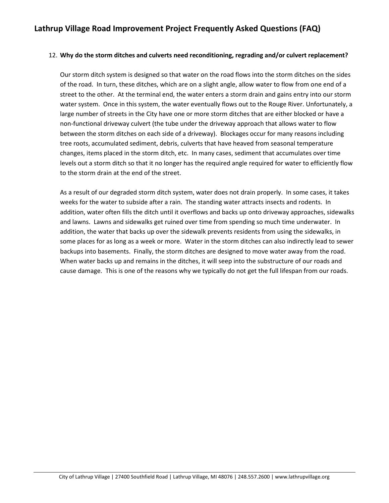## 12. **Why do the storm ditches and culverts need reconditioning, regrading and/or culvert replacement?**

Our storm ditch system is designed so that water on the road flows into the storm ditches on the sides of the road. In turn, these ditches, which are on a slight angle, allow water to flow from one end of a street to the other. At the terminal end, the water enters a storm drain and gains entry into our storm water system. Once in this system, the water eventually flows out to the Rouge River. Unfortunately, a large number of streets in the City have one or more storm ditches that are either blocked or have a non-functional driveway culvert (the tube under the driveway approach that allows water to flow between the storm ditches on each side of a driveway). Blockages occur for many reasons including tree roots, accumulated sediment, debris, culverts that have heaved from seasonal temperature changes, items placed in the storm ditch, etc. In many cases, sediment that accumulates over time levels out a storm ditch so that it no longer has the required angle required for water to efficiently flow to the storm drain at the end of the street.

As a result of our degraded storm ditch system, water does not drain properly. In some cases, it takes weeks for the water to subside after a rain. The standing water attracts insects and rodents. In addition, water often fills the ditch until it overflows and backs up onto driveway approaches, sidewalks and lawns. Lawns and sidewalks get ruined over time from spending so much time underwater. In addition, the water that backs up over the sidewalk prevents residents from using the sidewalks, in some places for as long as a week or more. Water in the storm ditches can also indirectly lead to sewer backups into basements. Finally, the storm ditches are designed to move water away from the road. When water backs up and remains in the ditches, it will seep into the substructure of our roads and cause damage. This is one of the reasons why we typically do not get the full lifespan from our roads.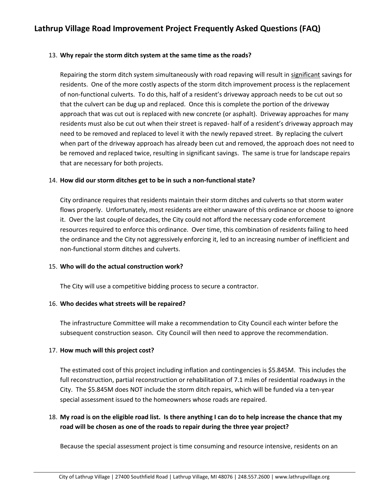## 13. **Why repair the storm ditch system at the same time as the roads?**

Repairing the storm ditch system simultaneously with road repaving will result in significant savings for residents. One of the more costly aspects of the storm ditch improvement process is the replacement of non-functional culverts. To do this, half of a resident's driveway approach needs to be cut out so that the culvert can be dug up and replaced. Once this is complete the portion of the driveway approach that was cut out is replaced with new concrete (or asphalt). Driveway approaches for many residents must also be cut out when their street is repaved- half of a resident's driveway approach may need to be removed and replaced to level it with the newly repaved street. By replacing the culvert when part of the driveway approach has already been cut and removed, the approach does not need to be removed and replaced twice, resulting in significant savings. The same is true for landscape repairs that are necessary for both projects.

### 14. **How did our storm ditches get to be in such a non-functional state?**

City ordinance requires that residents maintain their storm ditches and culverts so that storm water flows properly. Unfortunately, most residents are either unaware of this ordinance or choose to ignore it. Over the last couple of decades, the City could not afford the necessary code enforcement resources required to enforce this ordinance. Over time, this combination of residents failing to heed the ordinance and the City not aggressively enforcing it, led to an increasing number of inefficient and non-functional storm ditches and culverts.

### 15. **Who will do the actual construction work?**

The City will use a competitive bidding process to secure a contractor.

# 16. **Who decides what streets will be repaired?**

The infrastructure Committee will make a recommendation to City Council each winter before the subsequent construction season. City Council will then need to approve the recommendation.

# 17. **How much will this project cost?**

The estimated cost of this project including inflation and contingencies is \$5.845M. This includes the full reconstruction, partial reconstruction or rehabilitation of 7.1 miles of residential roadways in the City. The \$5.845M does NOT include the storm ditch repairs, which will be funded via a ten-year special assessment issued to the homeowners whose roads are repaired.

# 18. **My road is on the eligible road list. Is there anything I can do to help increase the chance that my road will be chosen as one of the roads to repair during the three year project?**

Because the special assessment project is time consuming and resource intensive, residents on an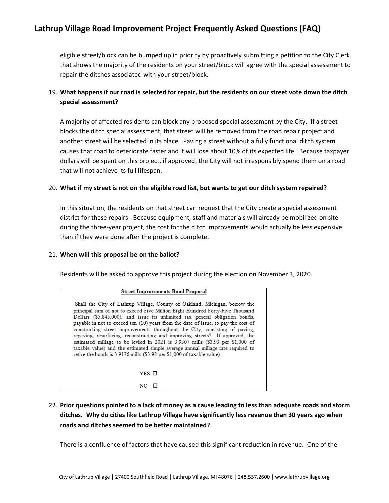eligible street/block can be bumped up in priority by proactively submitting a petition to the City Clerk that shows the majority of the residents on your street/block will agree with the special assessment to repair the ditches associated with your street/block.

# 19. **What happens if our road is selected for repair, but the residents on our street vote down the ditch special assessment?**

A majority of affected residents can block any proposed special assessment by the City. If a street blocks the ditch special assessment, that street will be removed from the road repair project and another street will be selected in its place. Paving a street without a fully functional ditch system causes that road to deteriorate faster and it will lose about 10% of its expected life. Because taxpayer dollars will be spent on this project, if approved, the City will not irresponsibly spend them on a road that will not achieve its full lifespan.

### 20. **What if my street is not on the eligible road list, but wants to get our ditch system repaired?**

In this situation, the residents on that street can request that the City create a special assessment district for these repairs. Because equipment, staff and materials will already be mobilized on site during the three-year project, the cost for the ditch improvements would actually be less expensive than if they were done after the project is complete.

### 21. **When will this proposal be on the ballot?**

Residents will be asked to approve this project during the election on November 3, 2020.

| <b>Street Improvements Bond Proposal</b>                                                                                                                                                                                                                                                                                                                                                                                                                                                                                                                                                                                                                                                                                                         |  |
|--------------------------------------------------------------------------------------------------------------------------------------------------------------------------------------------------------------------------------------------------------------------------------------------------------------------------------------------------------------------------------------------------------------------------------------------------------------------------------------------------------------------------------------------------------------------------------------------------------------------------------------------------------------------------------------------------------------------------------------------------|--|
| Shall the City of Lathrup Village, County of Oakland, Michigan, borrow the<br>principal sum of not to exceed Five Million Eight Hundred Forty-Five Thousand<br>Dollars (\$5,845,000), and issue its unlimited tax general obligation bonds,<br>payable in not to exceed ten (10) years from the date of issue, to pay the cost of<br>constructing street improvements throughout the City, consisting of paving,<br>repaving, resurfacing, reconstructing and improving streets? If approved, the<br>estimated millage to be levied in 2021 is 3.9307 mills (\$3.93 per \$1.000 of<br>taxable value) and the estimated simple average annual millage rate required to<br>retire the bonds is 3.9176 mills (\$3.92 per \$1,000 of taxable value). |  |
| YES O                                                                                                                                                                                                                                                                                                                                                                                                                                                                                                                                                                                                                                                                                                                                            |  |
|                                                                                                                                                                                                                                                                                                                                                                                                                                                                                                                                                                                                                                                                                                                                                  |  |

22. **Prior questions pointed to a lack of money as a cause leading to less than adequate roads and storm ditches. Why do cities like Lathrup Village have significantly less revenue than 30 years ago when roads and ditches seemed to be better maintained?**

There is a confluence of factors that have caused this significant reduction in revenue. One of the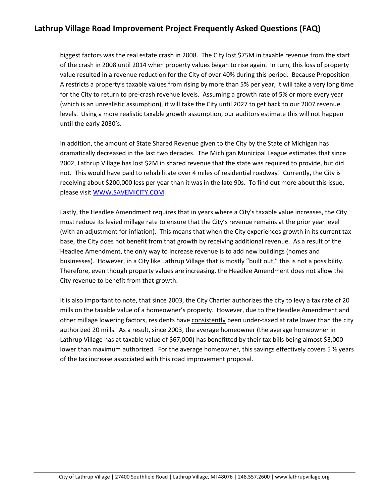biggest factors was the real estate crash in 2008. The City lost \$75M in taxable revenue from the start of the crash in 2008 until 2014 when property values began to rise again. In turn, this loss of property value resulted in a revenue reduction for the City of over 40% during this period. Because Proposition A restricts a property's taxable values from rising by more than 5% per year, it will take a very long time for the City to return to pre-crash revenue levels. Assuming a growth rate of 5% or more every year (which is an unrealistic assumption), it will take the City until 2027 to get back to our 2007 revenue levels. Using a more realistic taxable growth assumption, our auditors estimate this will not happen until the early 2030's.

In addition, the amount of State Shared Revenue given to the City by the State of Michigan has dramatically decreased in the last two decades. The Michigan Municipal League estimates that since 2002, Lathrup Village has lost \$2M in shared revenue that the state was required to provide, but did not. This would have paid to rehabilitate over 4 miles of residential roadway! Currently, the City is receiving about \$200,000 less per year than it was in the late 90s. To find out more about this issue, please visit [WWW.SAVEMICITY.COM.](http://www.savemicity.com/)

Lastly, the Headlee Amendment requires that in years where a City's taxable value increases, the City must reduce its levied millage rate to ensure that the City's revenue remains at the prior year level (with an adjustment for inflation). This means that when the City experiences growth in its current tax base, the City does not benefit from that growth by receiving additional revenue. As a result of the Headlee Amendment, the only way to increase revenue is to add new buildings (homes and businesses). However, in a City like Lathrup Village that is mostly "built out," this is not a possibility. Therefore, even though property values are increasing, the Headlee Amendment does not allow the City revenue to benefit from that growth.

It is also important to note, that since 2003, the City Charter authorizes the city to levy a tax rate of 20 mills on the taxable value of a homeowner's property. However, due to the Headlee Amendment and other millage lowering factors, residents have consistently been under-taxed at rate lower than the city authorized 20 mills. As a result, since 2003, the average homeowner (the average homeowner in Lathrup Village has at taxable value of \$67,000) has benefitted by their tax bills being almost \$3,000 lower than maximum authorized. For the average homeowner, this savings effectively covers 5  $\frac{1}{2}$  years of the tax increase associated with this road improvement proposal.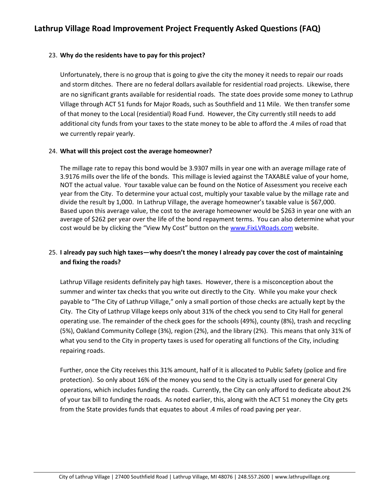## 23. **Why do the residents have to pay for this project?**

Unfortunately, there is no group that is going to give the city the money it needs to repair our roads and storm ditches. There are no federal dollars available for residential road projects. Likewise, there are no significant grants available for residential roads. The state does provide some money to Lathrup Village through ACT 51 funds for Major Roads, such as Southfield and 11 Mile. We then transfer some of that money to the Local (residential) Road Fund. However, the City currently still needs to add additional city funds from your taxes to the state money to be able to afford the .4 miles of road that we currently repair yearly.

### 24. **What will this project cost the average homeowner?**

The millage rate to repay this bond would be 3.9307 mills in year one with an average millage rate of 3.9176 mills over the life of the bonds. This millage is levied against the TAXABLE value of your home, NOT the actual value. Your taxable value can be found on the Notice of Assessment you receive each year from the City. To determine your actual cost, multiply your taxable value by the millage rate and divide the result by 1,000. In Lathrup Village, the average homeowner's taxable value is \$67,000. Based upon this average value, the cost to the average homeowner would be \$263 in year one with an average of \$262 per year over the life of the bond repayment terms. You can also determine what your cost would be by clicking the "View My Cost" button on the [www.FixLVRoads.com](http://www.fixlvroads.com/) website.

# 25. **I already pay such high taxes—why doesn't the money I already pay cover the cost of maintaining and fixing the roads?**

Lathrup Village residents definitely pay high taxes. However, there is a misconception about the summer and winter tax checks that you write out directly to the City. While you make your check payable to "The City of Lathrup Village," only a small portion of those checks are actually kept by the City. The City of Lathrup Village keeps only about 31% of the check you send to City Hall for general operating use. The remainder of the check goes for the schools (49%), county (8%), trash and recycling (5%), Oakland Community College (3%), region (2%), and the library (2%). This means that only 31% of what you send to the City in property taxes is used for operating all functions of the City, including repairing roads.

Further, once the City receives this 31% amount, half of it is allocated to Public Safety (police and fire protection). So only about 16% of the money you send to the City is actually used for general City operations, which includes funding the roads. Currently, the City can only afford to dedicate about 2% of your tax bill to funding the roads. As noted earlier, this, along with the ACT 51 money the City gets from the State provides funds that equates to about .4 miles of road paving per year.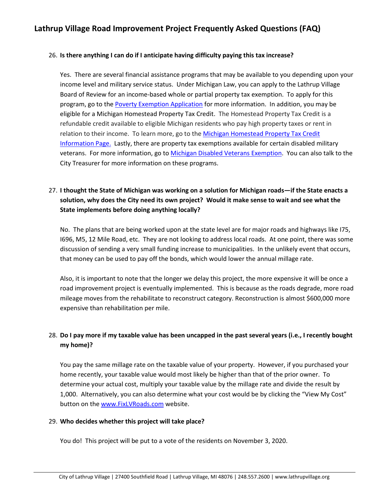## 26. **Is there anything I can do if I anticipate having difficulty paying this tax increase?**

Yes. There are several financial assistance programs that may be available to you depending upon your income level and military service status. Under Michigan Law, you can apply to the Lathrup Village Board of Review for an income-based whole or partial property tax exemption. To apply for this program, go to the [Poverty Exemption Application](http://www.lathrupvillage.org/2019%20Lathrup%20Village%20Revised%20Hardship%20Application_HUD%20OPTION%20FINAL.pdf) for more information. In addition, you may be eligible for a Michigan Homestead Property Tax Credit. The Homestead Property Tax Credit is a refundable credit available to eligible Michigan residents who pay high property taxes or rent in relation to their income. To learn more, go to the [Michigan Homestead Property Tax Credit](https://www.michigan.gov/taxes/0,4676,7-238-43535_43538-155081--,00.html)  [Information Page.](https://www.michigan.gov/taxes/0,4676,7-238-43535_43538-155081--,00.html) Lastly, there are property tax exemptions available for certain disabled military veterans. For more information, go t[o Michigan Disabled Veterans Exemption.](https://www.michigan.gov/treasury/0,4679,7-121-1751_2228_62817_64033-317569--,00.html) You can also talk to the City Treasurer for more information on these programs.

# 27. **I thought the State of Michigan was working on a solution for Michigan roads—if the State enacts a solution, why does the City need its own project? Would it make sense to wait and see what the State implements before doing anything locally?**

No. The plans that are being worked upon at the state level are for major roads and highways like I75, I696, M5, 12 Mile Road, etc. They are not looking to address local roads. At one point, there was some discussion of sending a very small funding increase to municipalities. In the unlikely event that occurs, that money can be used to pay off the bonds, which would lower the annual millage rate.

Also, it is important to note that the longer we delay this project, the more expensive it will be once a road improvement project is eventually implemented. This is because as the roads degrade, more road mileage moves from the rehabilitate to reconstruct category. Reconstruction is almost \$600,000 more expensive than rehabilitation per mile.

# 28. **Do I pay more if my taxable value has been uncapped in the past several years (i.e., I recently bought my home)?**

You pay the same millage rate on the taxable value of your property. However, if you purchased your home recently, your taxable value would most likely be higher than that of the prior owner. To determine your actual cost, multiply your taxable value by the millage rate and divide the result by 1,000. Alternatively, you can also determine what your cost would be by clicking the "View My Cost" button on the [www.FixLVRoads.com](http://www.fixlvroads.com/) website.

### 29. **Who decides whether this project will take place?**

You do! This project will be put to a vote of the residents on November 3, 2020.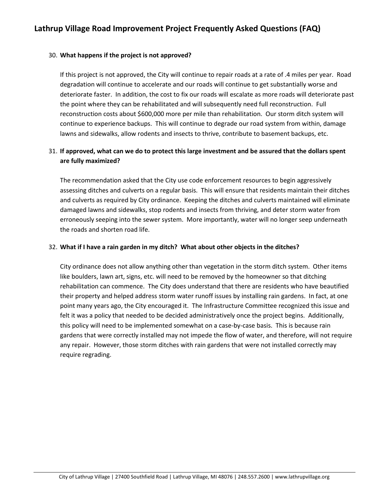## 30. **What happens if the project is not approved?**

If this project is not approved, the City will continue to repair roads at a rate of .4 miles per year. Road degradation will continue to accelerate and our roads will continue to get substantially worse and deteriorate faster. In addition, the cost to fix our roads will escalate as more roads will deteriorate past the point where they can be rehabilitated and will subsequently need full reconstruction. Full reconstruction costs about \$600,000 more per mile than rehabilitation. Our storm ditch system will continue to experience backups. This will continue to degrade our road system from within, damage lawns and sidewalks, allow rodents and insects to thrive, contribute to basement backups, etc.

# 31. **If approved, what can we do to protect this large investment and be assured that the dollars spent are fully maximized?**

The recommendation asked that the City use code enforcement resources to begin aggressively assessing ditches and culverts on a regular basis. This will ensure that residents maintain their ditches and culverts as required by City ordinance. Keeping the ditches and culverts maintained will eliminate damaged lawns and sidewalks, stop rodents and insects from thriving, and deter storm water from erroneously seeping into the sewer system. More importantly, water will no longer seep underneath the roads and shorten road life.

### 32. **What if I have a rain garden in my ditch? What about other objects in the ditches?**

City ordinance does not allow anything other than vegetation in the storm ditch system. Other items like boulders, lawn art, signs, etc. will need to be removed by the homeowner so that ditching rehabilitation can commence. The City does understand that there are residents who have beautified their property and helped address storm water runoff issues by installing rain gardens. In fact, at one point many years ago, the City encouraged it. The Infrastructure Committee recognized this issue and felt it was a policy that needed to be decided administratively once the project begins. Additionally, this policy will need to be implemented somewhat on a case-by-case basis. This is because rain gardens that were correctly installed may not impede the flow of water, and therefore, will not require any repair. However, those storm ditches with rain gardens that were not installed correctly may require regrading.